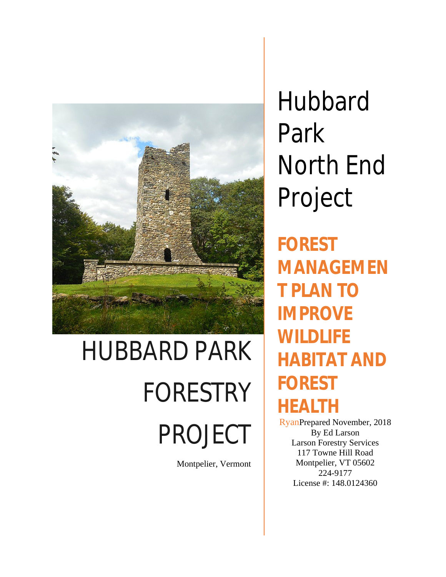

# HUBBARD PARK FORESTRY PROJECT

Montpelier, Vermont

**Hubbard** Park North End Project

**FOREST MANAGEMEN T PLAN TO IMPROVE WILDLIFE HABITAT AND FOREST HEALTH**

RyanPrepared November, 2018 By Ed Larson Larson Forestry Services 117 Towne Hill Road Montpelier, VT 05602 224-9177 License #: 148.0124360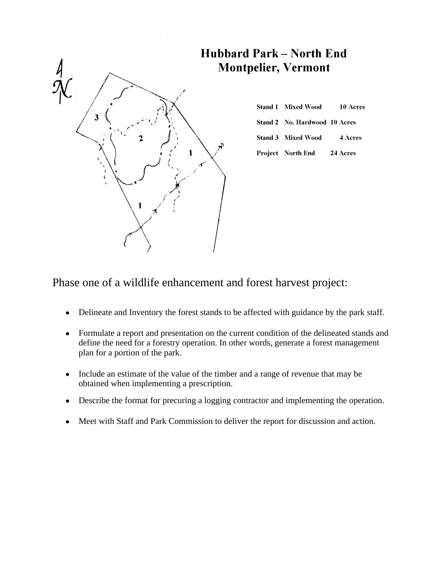

| <b>Stand 1 Mixed Wood</b>     | 10 Acres |
|-------------------------------|----------|
|                               |          |
| Stand 2 No. Hardwood 10 Acres |          |
|                               |          |
| Stand 3 Mixed Wood            | 4 Acres  |
|                               |          |
| Project North End             | 24 Acres |

# Phase one of a wildlife enhancement and forest harvest project:

- Delineate and Inventory the forest stands to be affected with guidance by the park staff.
- Formulate a report and presentation on the current condition of the delineated stands and define the need for a forestry operation. In other words, generate a forest management plan for a portion of the park.
- Include an estimate of the value of the timber and a range of revenue that may be obtained when implementing a prescription.
- Describe the format for precuring a logging contractor and implementing the operation.
- Meet with Staff and Park Commission to deliver the report for discussion and action.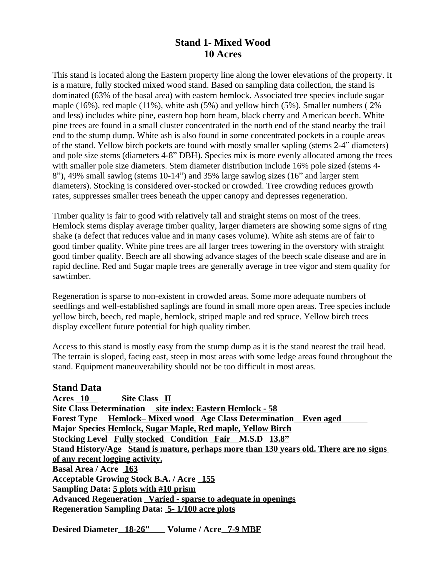# **Stand 1- Mixed Wood 10 Acres**

This stand is located along the Eastern property line along the lower elevations of the property. It is a mature, fully stocked mixed wood stand. Based on sampling data collection, the stand is dominated (63% of the basal area) with eastern hemlock. Associated tree species include sugar maple (16%), red maple (11%), white ash (5%) and yellow birch (5%). Smaller numbers ( 2% and less) includes white pine, eastern hop horn beam, black cherry and American beech. White pine trees are found in a small cluster concentrated in the north end of the stand nearby the trail end to the stump dump. White ash is also found in some concentrated pockets in a couple areas of the stand. Yellow birch pockets are found with mostly smaller sapling (stems 2-4" diameters) and pole size stems (diameters 4-8" DBH). Species mix is more evenly allocated among the trees with smaller pole size diameters. Stem diameter distribution include 16% pole sized (stems 4- 8"), 49% small sawlog (stems 10-14") and 35% large sawlog sizes (16" and larger stem diameters). Stocking is considered over-stocked or crowded. Tree crowding reduces growth rates, suppresses smaller trees beneath the upper canopy and depresses regeneration.

Timber quality is fair to good with relatively tall and straight stems on most of the trees. Hemlock stems display average timber quality, larger diameters are showing some signs of ring shake (a defect that reduces value and in many cases volume). White ash stems are of fair to good timber quality. White pine trees are all larger trees towering in the overstory with straight good timber quality. Beech are all showing advance stages of the beech scale disease and are in rapid decline. Red and Sugar maple trees are generally average in tree vigor and stem quality for sawtimber.

Regeneration is sparse to non-existent in crowded areas. Some more adequate numbers of seedlings and well-established saplings are found in small more open areas. Tree species include yellow birch, beech, red maple, hemlock, striped maple and red spruce. Yellow birch trees display excellent future potential for high quality timber.

Access to this stand is mostly easy from the stump dump as it is the stand nearest the trail head. The terrain is sloped, facing east, steep in most areas with some ledge areas found throughout the stand. Equipment maneuverability should not be too difficult in most areas.

#### **Stand Data**

Acres 10 Site Class II **Site Class Determination** site index: Eastern Hemlock - 58 **Forest Type Hemlock– Mixed wood Age Class Determination Even aged Major Species Hemlock, Sugar Maple, Red maple, Yellow Birch Stocking Level Fully stocked Condition Fair M.S.D 13.8" Stand History/Age Stand is mature, perhaps more than 130 years old. There are no signs of any recent logging activity. Basal Area / Acre 163 Acceptable Growing Stock B.A. / Acre 155 Sampling Data: 5 plots with #10 prism Advanced Regeneration Varied - sparse to adequate in openings Regeneration Sampling Data: 5- 1/100 acre plots**

**Desired Diameter 18-26" Volume / Acre 7-9 MBF**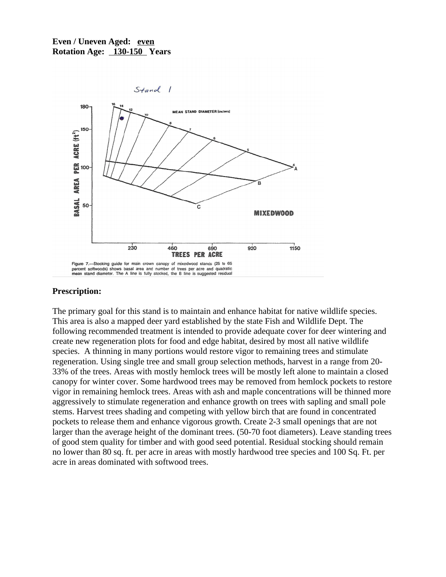#### **Even / Uneven Aged: even Rotation Age: 130-150 Years**



#### **Prescription:**

The primary goal for this stand is to maintain and enhance habitat for native wildlife species. This area is also a mapped deer yard established by the state Fish and Wildlife Dept. The following recommended treatment is intended to provide adequate cover for deer wintering and create new regeneration plots for food and edge habitat, desired by most all native wildlife species. A thinning in many portions would restore vigor to remaining trees and stimulate regeneration. Using single tree and small group selection methods, harvest in a range from 20- 33% of the trees. Areas with mostly hemlock trees will be mostly left alone to maintain a closed canopy for winter cover. Some hardwood trees may be removed from hemlock pockets to restore vigor in remaining hemlock trees. Areas with ash and maple concentrations will be thinned more aggressively to stimulate regeneration and enhance growth on trees with sapling and small pole stems. Harvest trees shading and competing with yellow birch that are found in concentrated pockets to release them and enhance vigorous growth. Create 2-3 small openings that are not larger than the average height of the dominant trees. (50-70 foot diameters). Leave standing trees of good stem quality for timber and with good seed potential. Residual stocking should remain no lower than 80 sq. ft. per acre in areas with mostly hardwood tree species and 100 Sq. Ft. per acre in areas dominated with softwood trees.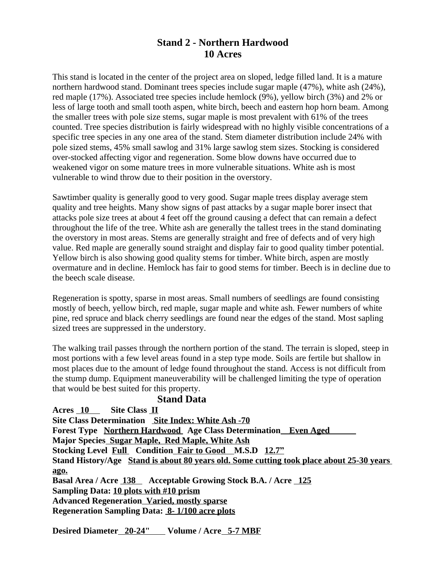# **Stand 2 - Northern Hardwood 10 Acres**

This stand is located in the center of the project area on sloped, ledge filled land. It is a mature northern hardwood stand. Dominant trees species include sugar maple (47%), white ash (24%), red maple (17%). Associated tree species include hemlock (9%), yellow birch (3%) and 2% or less of large tooth and small tooth aspen, white birch, beech and eastern hop horn beam. Among the smaller trees with pole size stems, sugar maple is most prevalent with 61% of the trees counted. Tree species distribution is fairly widespread with no highly visible concentrations of a specific tree species in any one area of the stand. Stem diameter distribution include 24% with pole sized stems, 45% small sawlog and 31% large sawlog stem sizes. Stocking is considered over-stocked affecting vigor and regeneration. Some blow downs have occurred due to weakened vigor on some mature trees in more vulnerable situations. White ash is most vulnerable to wind throw due to their position in the overstory.

Sawtimber quality is generally good to very good. Sugar maple trees display average stem quality and tree heights. Many show signs of past attacks by a sugar maple borer insect that attacks pole size trees at about 4 feet off the ground causing a defect that can remain a defect throughout the life of the tree. White ash are generally the tallest trees in the stand dominating the overstory in most areas. Stems are generally straight and free of defects and of very high value. Red maple are generally sound straight and display fair to good quality timber potential. Yellow birch is also showing good quality stems for timber. White birch, aspen are mostly overmature and in decline. Hemlock has fair to good stems for timber. Beech is in decline due to the beech scale disease.

Regeneration is spotty, sparse in most areas. Small numbers of seedlings are found consisting mostly of beech, yellow birch, red maple, sugar maple and white ash. Fewer numbers of white pine, red spruce and black cherry seedlings are found near the edges of the stand. Most sapling sized trees are suppressed in the understory.

The walking trail passes through the northern portion of the stand. The terrain is sloped, steep in most portions with a few level areas found in a step type mode. Soils are fertile but shallow in most places due to the amount of ledge found throughout the stand. Access is not difficult from the stump dump. Equipment maneuverability will be challenged limiting the type of operation that would be best suited for this property.

#### **Stand Data**

**Acres 10 Site Class II Site Class Determination Site Index: White Ash -70 Forest Type Northern Hardwood Age Class Determination Even Aged Major Species Sugar Maple, Red Maple, White Ash Stocking Level Full Condition Fair to Good M.S.D 12.7" Stand History/Age Stand is about 80 years old. Some cutting took place about 25-30 years ago.** Basal Area / Acre 138 Acceptable Growing Stock B.A. / Acre 125 **Sampling Data: 10 plots with #10 prism Advanced Regeneration Varied, mostly sparse Regeneration Sampling Data: 8- 1/100 acre plots**

Desired Diameter\_20-24" Volume / Acre 5-7 MBF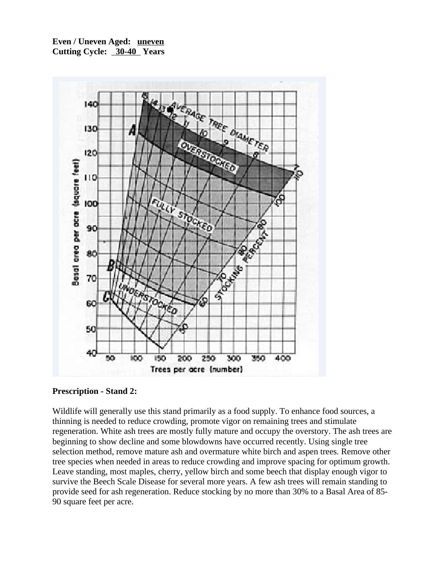**Even / Uneven Aged: uneven Cutting Cycle: 30-40 Years**



**Prescription - Stand 2:**

Wildlife will generally use this stand primarily as a food supply. To enhance food sources, a thinning is needed to reduce crowding, promote vigor on remaining trees and stimulate regeneration. White ash trees are mostly fully mature and occupy the overstory. The ash trees are beginning to show decline and some blowdowns have occurred recently. Using single tree selection method, remove mature ash and overmature white birch and aspen trees. Remove other tree species when needed in areas to reduce crowding and improve spacing for optimum growth. Leave standing, most maples, cherry, yellow birch and some beech that display enough vigor to survive the Beech Scale Disease for several more years. A few ash trees will remain standing to provide seed for ash regeneration. Reduce stocking by no more than 30% to a Basal Area of 85- 90 square feet per acre.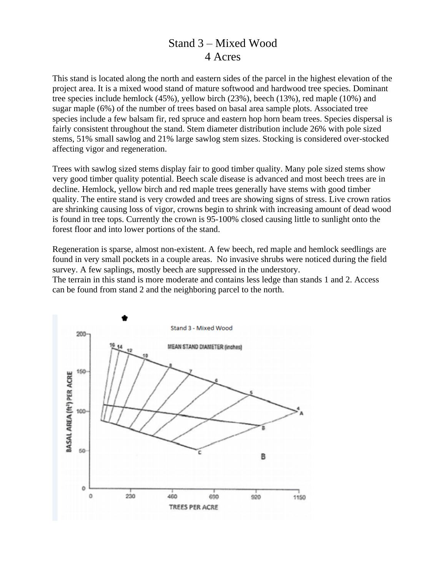# Stand 3 – Mixed Wood 4 Acres

This stand is located along the north and eastern sides of the parcel in the highest elevation of the project area. It is a mixed wood stand of mature softwood and hardwood tree species. Dominant tree species include hemlock (45%), yellow birch (23%), beech (13%), red maple (10%) and sugar maple (6%) of the number of trees based on basal area sample plots. Associated tree species include a few balsam fir, red spruce and eastern hop horn beam trees. Species dispersal is fairly consistent throughout the stand. Stem diameter distribution include 26% with pole sized stems, 51% small sawlog and 21% large sawlog stem sizes. Stocking is considered over-stocked affecting vigor and regeneration.

Trees with sawlog sized stems display fair to good timber quality. Many pole sized stems show very good timber quality potential. Beech scale disease is advanced and most beech trees are in decline. Hemlock, yellow birch and red maple trees generally have stems with good timber quality. The entire stand is very crowded and trees are showing signs of stress. Live crown ratios are shrinking causing loss of vigor, crowns begin to shrink with increasing amount of dead wood is found in tree tops. Currently the crown is 95-100% closed causing little to sunlight onto the forest floor and into lower portions of the stand.

Regeneration is sparse, almost non-existent. A few beech, red maple and hemlock seedlings are found in very small pockets in a couple areas. No invasive shrubs were noticed during the field survey. A few saplings, mostly beech are suppressed in the understory.

The terrain in this stand is more moderate and contains less ledge than stands 1 and 2. Access can be found from stand 2 and the neighboring parcel to the north.

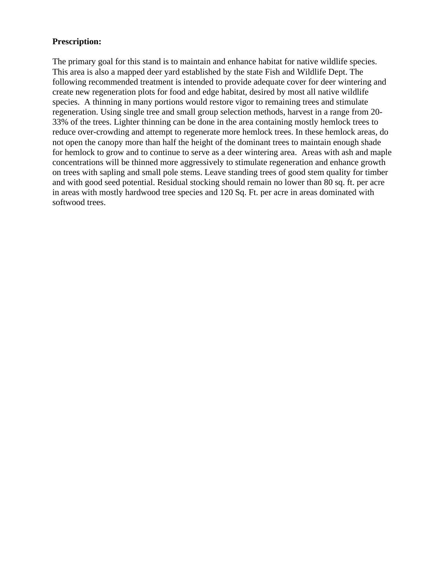#### **Prescription:**

The primary goal for this stand is to maintain and enhance habitat for native wildlife species. This area is also a mapped deer yard established by the state Fish and Wildlife Dept. The following recommended treatment is intended to provide adequate cover for deer wintering and create new regeneration plots for food and edge habitat, desired by most all native wildlife species. A thinning in many portions would restore vigor to remaining trees and stimulate regeneration. Using single tree and small group selection methods, harvest in a range from 20- 33% of the trees. Lighter thinning can be done in the area containing mostly hemlock trees to reduce over-crowding and attempt to regenerate more hemlock trees. In these hemlock areas, do not open the canopy more than half the height of the dominant trees to maintain enough shade for hemlock to grow and to continue to serve as a deer wintering area. Areas with ash and maple concentrations will be thinned more aggressively to stimulate regeneration and enhance growth on trees with sapling and small pole stems. Leave standing trees of good stem quality for timber and with good seed potential. Residual stocking should remain no lower than 80 sq. ft. per acre in areas with mostly hardwood tree species and 120 Sq. Ft. per acre in areas dominated with softwood trees.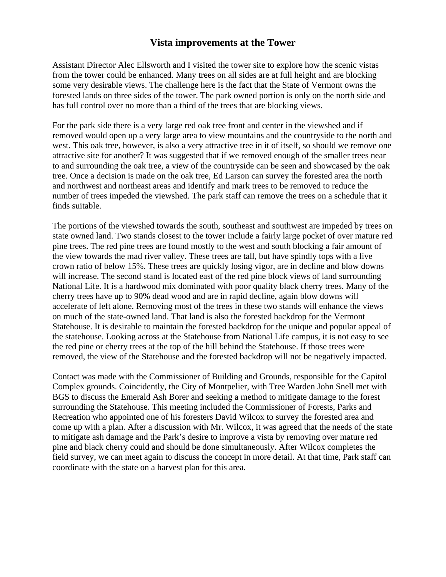## **Vista improvements at the Tower**

Assistant Director Alec Ellsworth and I visited the tower site to explore how the scenic vistas from the tower could be enhanced. Many trees on all sides are at full height and are blocking some very desirable views. The challenge here is the fact that the State of Vermont owns the forested lands on three sides of the tower. The park owned portion is only on the north side and has full control over no more than a third of the trees that are blocking views.

For the park side there is a very large red oak tree front and center in the viewshed and if removed would open up a very large area to view mountains and the countryside to the north and west. This oak tree, however, is also a very attractive tree in it of itself, so should we remove one attractive site for another? It was suggested that if we removed enough of the smaller trees near to and surrounding the oak tree, a view of the countryside can be seen and showcased by the oak tree. Once a decision is made on the oak tree, Ed Larson can survey the forested area the north and northwest and northeast areas and identify and mark trees to be removed to reduce the number of trees impeded the viewshed. The park staff can remove the trees on a schedule that it finds suitable.

The portions of the viewshed towards the south, southeast and southwest are impeded by trees on state owned land. Two stands closest to the tower include a fairly large pocket of over mature red pine trees. The red pine trees are found mostly to the west and south blocking a fair amount of the view towards the mad river valley. These trees are tall, but have spindly tops with a live crown ratio of below 15%. These trees are quickly losing vigor, are in decline and blow downs will increase. The second stand is located east of the red pine block views of land surrounding National Life. It is a hardwood mix dominated with poor quality black cherry trees. Many of the cherry trees have up to 90% dead wood and are in rapid decline, again blow downs will accelerate of left alone. Removing most of the trees in these two stands will enhance the views on much of the state-owned land. That land is also the forested backdrop for the Vermont Statehouse. It is desirable to maintain the forested backdrop for the unique and popular appeal of the statehouse. Looking across at the Statehouse from National Life campus, it is not easy to see the red pine or cherry trees at the top of the hill behind the Statehouse. If those trees were removed, the view of the Statehouse and the forested backdrop will not be negatively impacted.

Contact was made with the Commissioner of Building and Grounds, responsible for the Capitol Complex grounds. Coincidently, the City of Montpelier, with Tree Warden John Snell met with BGS to discuss the Emerald Ash Borer and seeking a method to mitigate damage to the forest surrounding the Statehouse. This meeting included the Commissioner of Forests, Parks and Recreation who appointed one of his foresters David Wilcox to survey the forested area and come up with a plan. After a discussion with Mr. Wilcox, it was agreed that the needs of the state to mitigate ash damage and the Park's desire to improve a vista by removing over mature red pine and black cherry could and should be done simultaneously. After Wilcox completes the field survey, we can meet again to discuss the concept in more detail. At that time, Park staff can coordinate with the state on a harvest plan for this area.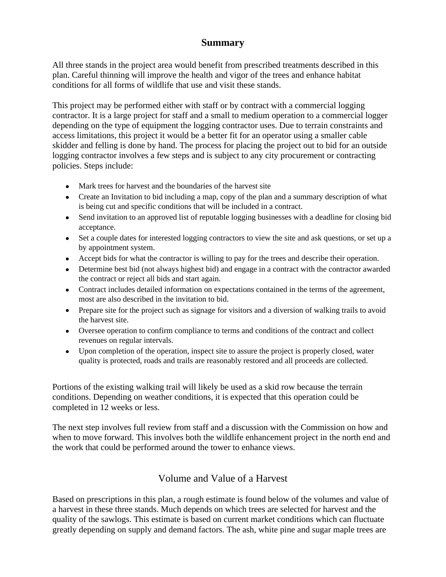## **Summary**

All three stands in the project area would benefit from prescribed treatments described in this plan. Careful thinning will improve the health and vigor of the trees and enhance habitat conditions for all forms of wildlife that use and visit these stands.

This project may be performed either with staff or by contract with a commercial logging contractor. It is a large project for staff and a small to medium operation to a commercial logger depending on the type of equipment the logging contractor uses. Due to terrain constraints and access limitations, this project it would be a better fit for an operator using a smaller cable skidder and felling is done by hand. The process for placing the project out to bid for an outside logging contractor involves a few steps and is subject to any city procurement or contracting policies. Steps include:

- Mark trees for harvest and the boundaries of the harvest site
- Create an Invitation to bid including a map, copy of the plan and a summary description of what is being cut and specific conditions that will be included in a contract.
- Send invitation to an approved list of reputable logging businesses with a deadline for closing bid acceptance.
- Set a couple dates for interested logging contractors to view the site and ask questions, or set up a by appointment system.
- Accept bids for what the contractor is willing to pay for the trees and describe their operation.
- Determine best bid (not always highest bid) and engage in a contract with the contractor awarded the contract or reject all bids and start again.
- Contract includes detailed information on expectations contained in the terms of the agreement, most are also described in the invitation to bid.
- Prepare site for the project such as signage for visitors and a diversion of walking trails to avoid the harvest site.
- Oversee operation to confirm compliance to terms and conditions of the contract and collect revenues on regular intervals.
- Upon completion of the operation, inspect site to assure the project is properly closed, water quality is protected, roads and trails are reasonably restored and all proceeds are collected.

Portions of the existing walking trail will likely be used as a skid row because the terrain conditions. Depending on weather conditions, it is expected that this operation could be completed in 12 weeks or less.

The next step involves full review from staff and a discussion with the Commission on how and when to move forward. This involves both the wildlife enhancement project in the north end and the work that could be performed around the tower to enhance views.

## Volume and Value of a Harvest

Based on prescriptions in this plan, a rough estimate is found below of the volumes and value of a harvest in these three stands. Much depends on which trees are selected for harvest and the quality of the sawlogs. This estimate is based on current market conditions which can fluctuate greatly depending on supply and demand factors. The ash, white pine and sugar maple trees are